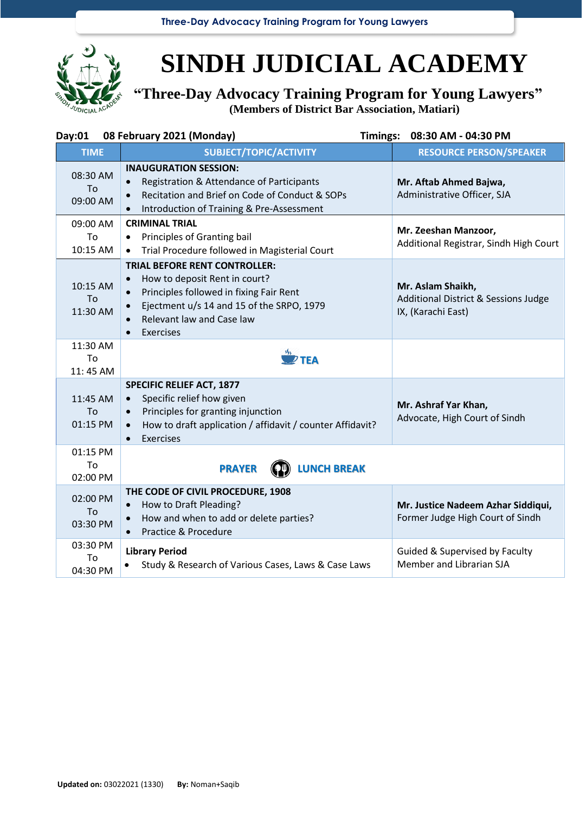**Three-Day Advocacy Training Program for Young Lawyers**



## **SINDH JUDICIAL ACADEMY**

**"Three-Day Advocacy Training Program for Young Lawyers" (Members of District Bar Association, Matiari)**

| Day:01                     | 08 February 2021 (Monday)<br>Timings:                                                                                                                                                                                                          | 08:30 AM - 04:30 PM                                                             |
|----------------------------|------------------------------------------------------------------------------------------------------------------------------------------------------------------------------------------------------------------------------------------------|---------------------------------------------------------------------------------|
| <b>TIME</b>                | <b>SUBJECT/TOPIC/ACTIVITY</b>                                                                                                                                                                                                                  | <b>RESOURCE PERSON/SPEAKER</b>                                                  |
| 08:30 AM<br>To<br>09:00 AM | <b>INAUGURATION SESSION:</b><br>Registration & Attendance of Participants<br>$\bullet$<br>Recitation and Brief on Code of Conduct & SOPs<br>$\bullet$<br>Introduction of Training & Pre-Assessment                                             | Mr. Aftab Ahmed Bajwa,<br>Administrative Officer, SJA                           |
| 09:00 AM<br>To<br>10:15 AM | <b>CRIMINAL TRIAL</b><br>Principles of Granting bail<br>$\bullet$<br>Trial Procedure followed in Magisterial Court<br>$\bullet$                                                                                                                | Mr. Zeeshan Manzoor,<br>Additional Registrar, Sindh High Court                  |
| 10:15 AM<br>To<br>11:30 AM | <b>TRIAL BEFORE RENT CONTROLLER:</b><br>How to deposit Rent in court?<br>$\bullet$<br>Principles followed in fixing Fair Rent<br>$\bullet$<br>Ejectment u/s 14 and 15 of the SRPO, 1979<br>Relevant law and Case law<br>Exercises<br>$\bullet$ | Mr. Aslam Shaikh,<br>Additional District & Sessions Judge<br>IX, (Karachi East) |
| 11:30 AM<br>To<br>11:45 AM | $\overset{W}{\longrightarrow}$ TEA                                                                                                                                                                                                             |                                                                                 |
| 11:45 AM<br>To<br>01:15 PM | <b>SPECIFIC RELIEF ACT, 1877</b><br>Specific relief how given<br>$\bullet$<br>Principles for granting injunction<br>$\bullet$<br>How to draft application / affidavit / counter Affidavit?<br>$\bullet$<br>Exercises<br>$\bullet$              | Mr. Ashraf Yar Khan,<br>Advocate, High Court of Sindh                           |
| 01:15 PM<br>To<br>02:00 PM | <b>LUNCH BREAK</b><br><b>PRAYER</b>                                                                                                                                                                                                            |                                                                                 |
| 02:00 PM<br>To<br>03:30 PM | THE CODE OF CIVIL PROCEDURE, 1908<br>How to Draft Pleading?<br>$\bullet$<br>How and when to add or delete parties?<br>Practice & Procedure                                                                                                     | Mr. Justice Nadeem Azhar Siddiqui,<br>Former Judge High Court of Sindh          |
| 03:30 PM<br>To<br>04:30 PM | <b>Library Period</b><br>Study & Research of Various Cases, Laws & Case Laws<br>$\bullet$                                                                                                                                                      | Guided & Supervised by Faculty<br>Member and Librarian SJA                      |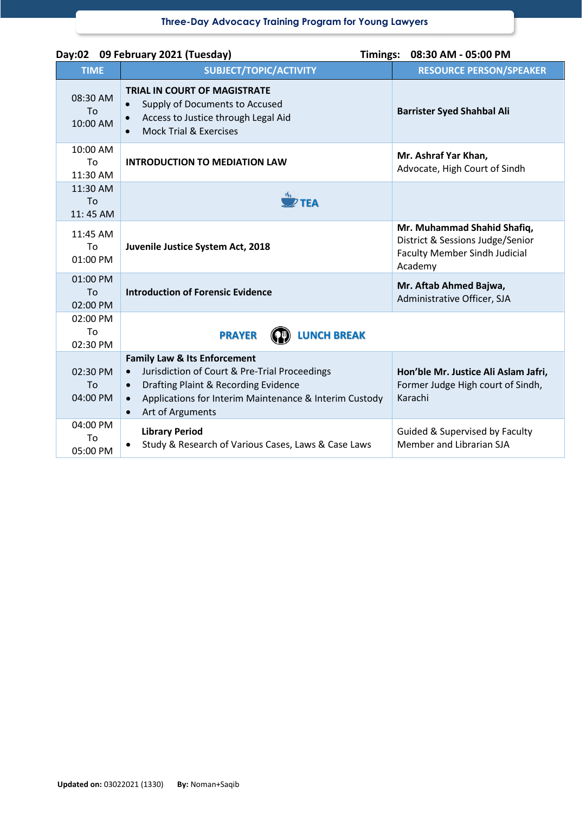| Day:02 09 February 2021 (Tuesday)<br>Timings: 08:30 AM - 05:00 PM |                                                                                                                                                                                                                                          |                                                                                                                    |  |  |
|-------------------------------------------------------------------|------------------------------------------------------------------------------------------------------------------------------------------------------------------------------------------------------------------------------------------|--------------------------------------------------------------------------------------------------------------------|--|--|
| <b>TIME</b>                                                       | SUBJECT/TOPIC/ACTIVITY                                                                                                                                                                                                                   | <b>RESOURCE PERSON/SPEAKER</b>                                                                                     |  |  |
| 08:30 AM<br>To<br>10:00 AM                                        | <b>TRIAL IN COURT OF MAGISTRATE</b><br>Supply of Documents to Accused<br>Access to Justice through Legal Aid<br><b>Mock Trial &amp; Exercises</b>                                                                                        | <b>Barrister Syed Shahbal Ali</b>                                                                                  |  |  |
| 10:00 AM<br>To<br>11:30 AM                                        | <b>INTRODUCTION TO MEDIATION LAW</b>                                                                                                                                                                                                     | Mr. Ashraf Yar Khan,<br>Advocate, High Court of Sindh                                                              |  |  |
| 11:30 AM<br>T <sub>Ω</sub><br>11:45 AM                            | <b>TFA</b>                                                                                                                                                                                                                               |                                                                                                                    |  |  |
| 11:45 AM<br>To<br>01:00 PM                                        | Juvenile Justice System Act, 2018                                                                                                                                                                                                        | Mr. Muhammad Shahid Shafiq,<br>District & Sessions Judge/Senior<br><b>Faculty Member Sindh Judicial</b><br>Academy |  |  |
| 01:00 PM<br>To<br>02:00 PM                                        | <b>Introduction of Forensic Evidence</b>                                                                                                                                                                                                 | Mr. Aftab Ahmed Bajwa,<br>Administrative Officer, SJA                                                              |  |  |
| 02:00 PM<br>To<br>02:30 PM                                        | <b>LUNCH BREAK</b><br><b>PRAYER</b>                                                                                                                                                                                                      |                                                                                                                    |  |  |
| 02:30 PM<br>To<br>04:00 PM<br>04:00 PM                            | <b>Family Law &amp; Its Enforcement</b><br>Jurisdiction of Court & Pre-Trial Proceedings<br>Drafting Plaint & Recording Evidence<br>$\bullet$<br>Applications for Interim Maintenance & Interim Custody<br>Art of Arguments<br>$\bullet$ | Hon'ble Mr. Justice Ali Aslam Jafri,<br>Former Judge High court of Sindh,<br>Karachi                               |  |  |
| To<br>05:00 PM                                                    | <b>Library Period</b><br>Study & Research of Various Cases, Laws & Case Laws                                                                                                                                                             | Guided & Supervised by Faculty<br>Member and Librarian SJA                                                         |  |  |